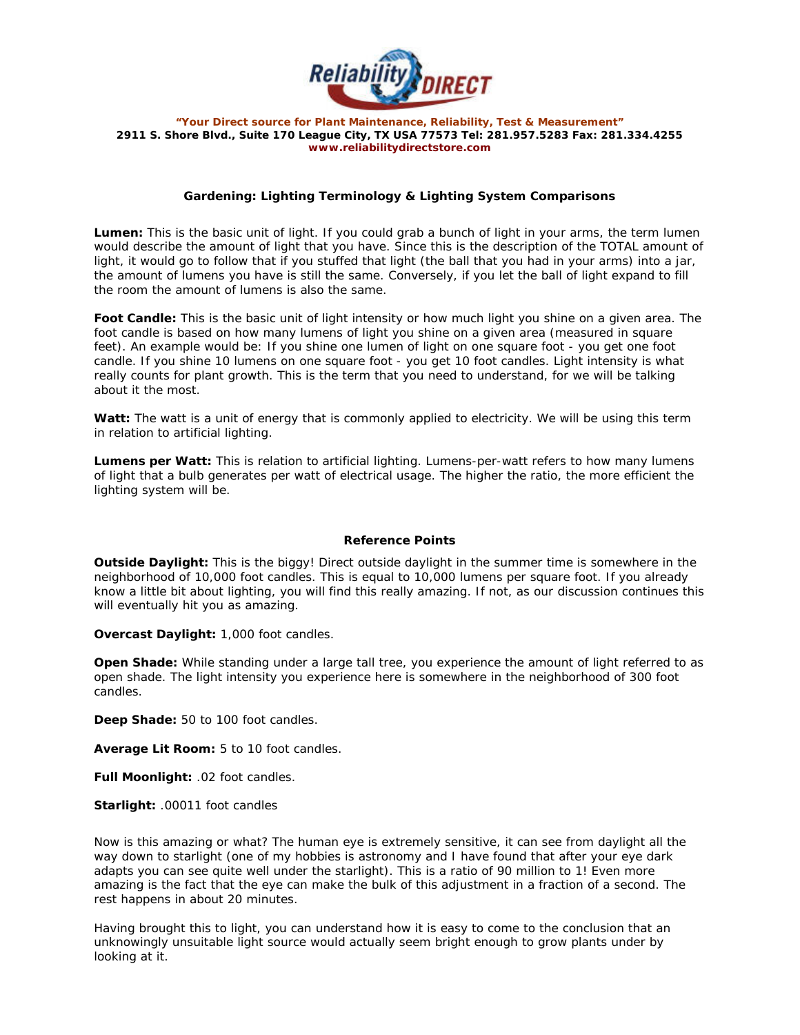

*"Your Direct source for Plant Maintenance, Reliability, Test & Measurement"*  **2911 S. Shore Blvd., Suite 170 League City, TX USA 77573 Tel: 281.957.5283 Fax: 281.334.4255**  *www.reliabilitydirectstore.com* 

## **Gardening: Lighting Terminology & Lighting System Comparisons**

**Lumen:** This is the basic unit of light. If you could grab a bunch of light in your arms, the term lumen would describe the amount of light that you have. Since this is the description of the TOTAL amount of light, it would go to follow that if you stuffed that light (the ball that you had in your arms) into a jar, the amount of lumens you have is still the same. Conversely, if you let the ball of light expand to fill the room the amount of lumens is also the same.

**Foot Candle:** This is the basic unit of light intensity or how much light you shine on a given area. The foot candle is based on how many lumens of light you shine on a given area (measured in square feet). An example would be: If you shine one lumen of light on one square foot - you get one foot candle. If you shine 10 lumens on one square foot - you get 10 foot candles. Light intensity is what really counts for plant growth. This is the term that you need to understand, for we will be talking about it the most.

Watt: The watt is a unit of energy that is commonly applied to electricity. We will be using this term in relation to artificial lighting.

**Lumens per Watt:** This is relation to artificial lighting. Lumens-per-watt refers to how many lumens of light that a bulb generates per watt of electrical usage. The higher the ratio, the more efficient the lighting system will be.

## **Reference Points**

**Outside Daylight:** This is the biggy! Direct outside daylight in the summer time is somewhere in the neighborhood of 10,000 foot candles. This is equal to 10,000 lumens per square foot. If you already know a little bit about lighting, you will find this really amazing. If not, as our discussion continues this will eventually hit you as amazing.

**Overcast Daylight:** 1,000 foot candles.

**Open Shade:** While standing under a large tall tree, you experience the amount of light referred to as open shade. The light intensity you experience here is somewhere in the neighborhood of 300 foot candles.

**Deep Shade:** 50 to 100 foot candles.

**Average Lit Room:** 5 to 10 foot candles.

**Full Moonlight:** .02 foot candles.

**Starlight:** .00011 foot candles

Now is this amazing or what? The human eye is extremely sensitive, it can see from daylight all the way down to starlight (one of my hobbies is astronomy and I have found that after your eye dark adapts you can see quite well under the starlight). This is a ratio of 90 million to 1! Even more amazing is the fact that the eye can make the bulk of this adjustment in a fraction of a second. The rest happens in about 20 minutes.

Having brought this to light, you can understand how it is easy to come to the conclusion that an unknowingly unsuitable light source would actually seem bright enough to grow plants under by looking at it.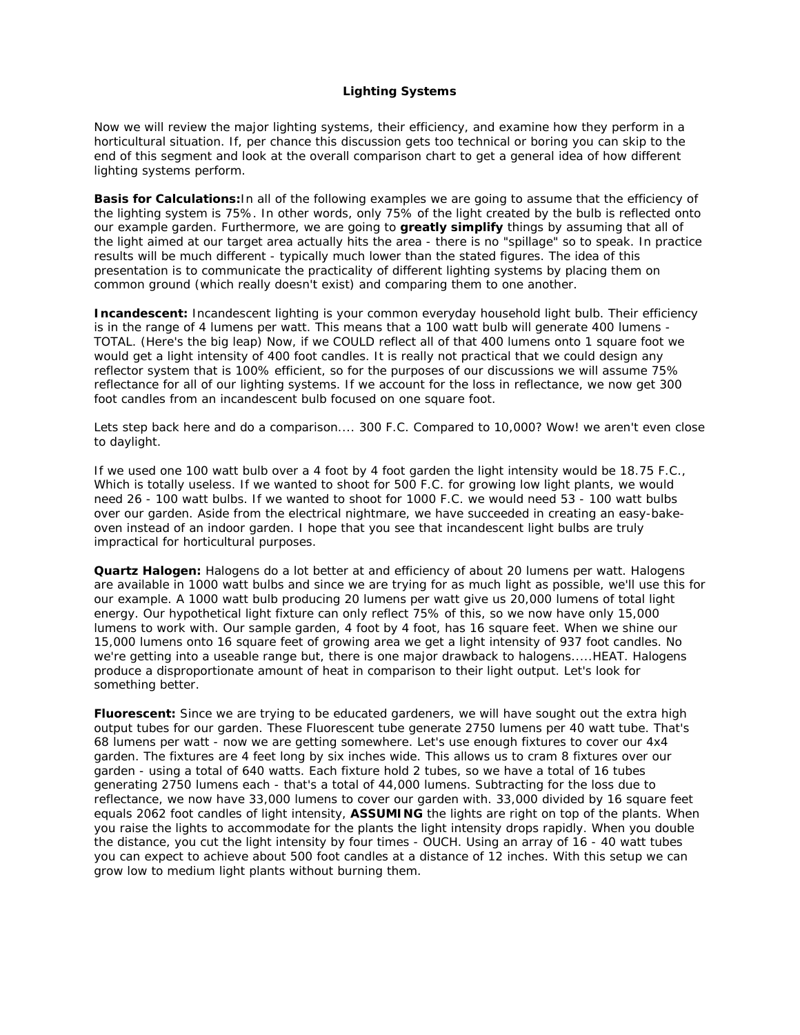## **Lighting Systems**

Now we will review the major lighting systems, their efficiency, and examine how they perform in a horticultural situation. If, per chance this discussion gets too technical or boring you can skip to the end of this segment and look at the overall comparison chart to get a general idea of how different lighting systems perform.

**Basis for Calculations:**In all of the following examples we are going to assume that the efficiency of the lighting system is 75%. In other words, only 75% of the light created by the bulb is reflected onto our example garden. Furthermore, we are going to **greatly simplify** things by assuming that all of the light aimed at our target area actually hits the area - there is no "spillage" so to speak. In practice results will be much different - typically much lower than the stated figures. The idea of this presentation is to communicate the practicality of different lighting systems by placing them on common ground (which really doesn't exist) and comparing them to one another.

**Incandescent:** Incandescent lighting is your common everyday household light bulb. Their efficiency is in the range of 4 lumens per watt. This means that a 100 watt bulb will generate 400 lumens - TOTAL. (Here's the big leap) Now, if we COULD reflect all of that 400 lumens onto 1 square foot we would get a light intensity of 400 foot candles. It is really not practical that we could design any reflector system that is 100% efficient, so for the purposes of our discussions we will assume 75% reflectance for all of our lighting systems. If we account for the loss in reflectance, we now get 300 foot candles from an incandescent bulb focused on one square foot.

Lets step back here and do a comparison.... 300 F.C. Compared to 10,000? Wow! we aren't even close to daylight.

If we used one 100 watt bulb over a 4 foot by 4 foot garden the light intensity would be 18.75 F.C., Which is totally useless. If we wanted to shoot for 500 F.C. for growing low light plants, we would need 26 - 100 watt bulbs. If we wanted to shoot for 1000 F.C. we would need 53 - 100 watt bulbs over our garden. Aside from the electrical nightmare, we have succeeded in creating an easy-bakeoven instead of an indoor garden. I hope that you see that incandescent light bulbs are truly impractical for horticultural purposes.

**Quartz Halogen:** Halogens do a lot better at and efficiency of about 20 lumens per watt. Halogens are available in 1000 watt bulbs and since we are trying for as much light as possible, we'll use this for our example. A 1000 watt bulb producing 20 lumens per watt give us 20,000 lumens of total light energy. Our hypothetical light fixture can only reflect 75% of this, so we now have only 15,000 lumens to work with. Our sample garden, 4 foot by 4 foot, has 16 square feet. When we shine our 15,000 lumens onto 16 square feet of growing area we get a light intensity of 937 foot candles. No we're getting into a useable range but, there is one major drawback to halogens.....HEAT. Halogens produce a disproportionate amount of heat in comparison to their light output. Let's look for something better.

**Fluorescent:** Since we are trying to be educated gardeners, we will have sought out the extra high output tubes for our garden. These Fluorescent tube generate 2750 lumens per 40 watt tube. That's 68 lumens per watt - now we are getting somewhere. Let's use enough fixtures to cover our 4x4 garden. The fixtures are 4 feet long by six inches wide. This allows us to cram 8 fixtures over our garden - using a total of 640 watts. Each fixture hold 2 tubes, so we have a total of 16 tubes generating 2750 lumens each - that's a total of 44,000 lumens. Subtracting for the loss due to reflectance, we now have 33,000 lumens to cover our garden with. 33,000 divided by 16 square feet equals 2062 foot candles of light intensity, **ASSUMING** the lights are right on top of the plants. When you raise the lights to accommodate for the plants the light intensity drops rapidly. When you double the distance, you cut the light intensity by four times - OUCH. Using an array of 16 - 40 watt tubes you can expect to achieve about 500 foot candles at a distance of 12 inches. With this setup we can grow low to medium light plants without burning them.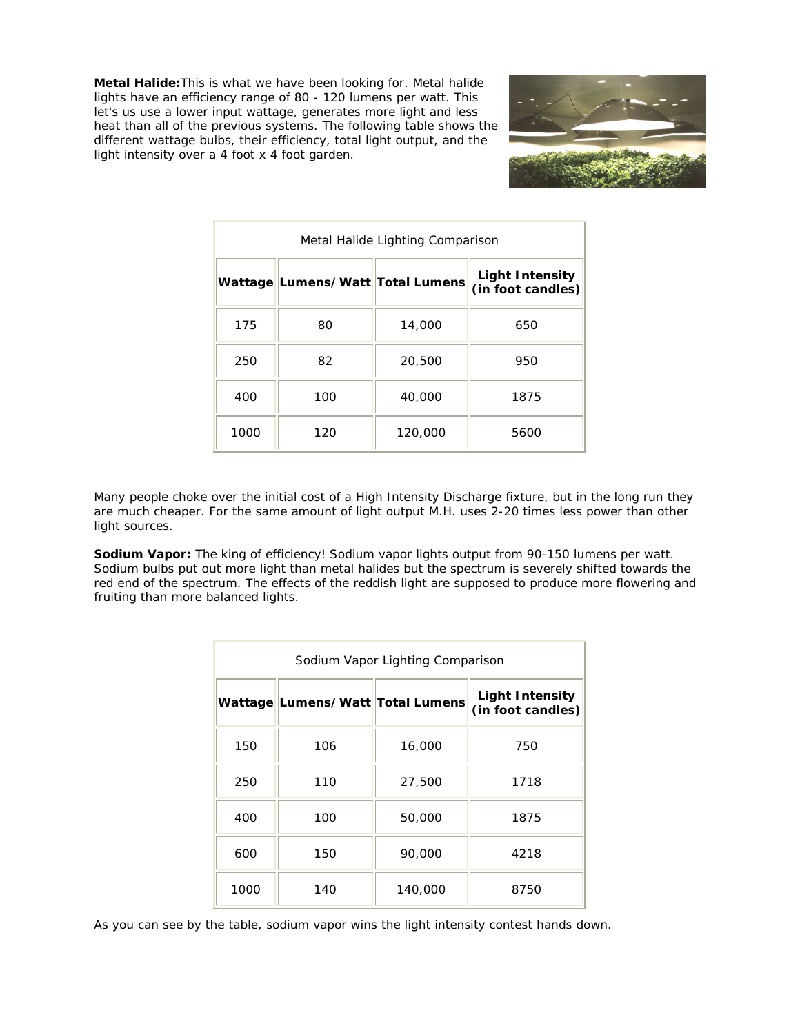**Metal Halide:**This is what we have been looking for. Metal halide lights have an efficiency range of 80 - 120 lumens per watt. This let's us use a lower input wattage, generates more light and less heat than all of the previous systems. The following table shows the different wattage bulbs, their efficiency, total light output, and the light intensity over a 4 foot x 4 foot garden.



| Metal Halide Lighting Comparison |                                  |         |                                      |  |
|----------------------------------|----------------------------------|---------|--------------------------------------|--|
|                                  | Wattage Lumens/Watt Total Lumens |         | Light Intensity<br>(in foot candles) |  |
| 175                              | 80                               | 14,000  | 650                                  |  |
| 250                              | 82                               | 20,500  | 950                                  |  |
| 400                              | 100                              | 40,000  | 1875                                 |  |
| 1000                             | 120                              | 120,000 | 5600                                 |  |

Many people choke over the initial cost of a High Intensity Discharge fixture, but in the long run they are much cheaper. For the same amount of light output M.H. uses 2-20 times less power than other light sources.

**Sodium Vapor:** The king of efficiency! Sodium vapor lights output from 90-150 lumens per watt. Sodium bulbs put out more light than metal halides but the spectrum is severely shifted towards the red end of the spectrum. The effects of the reddish light are supposed to produce more flowering and fruiting than more balanced lights.

| Sodium Vapor Lighting Comparison |                                  |         |                                             |  |
|----------------------------------|----------------------------------|---------|---------------------------------------------|--|
|                                  | Wattage Lumens/Watt Total Lumens |         | <b>Light Intensity</b><br>(in foot candies) |  |
| 150                              | 106                              | 16,000  | 750                                         |  |
| 250                              | 110                              | 27,500  | 1718                                        |  |
| 400                              | 100                              | 50,000  | 1875                                        |  |
| 600                              | 150                              | 90,000  | 4218                                        |  |
| 1000                             | 140                              | 140,000 | 8750                                        |  |

As you can see by the table, sodium vapor wins the light intensity contest hands down.